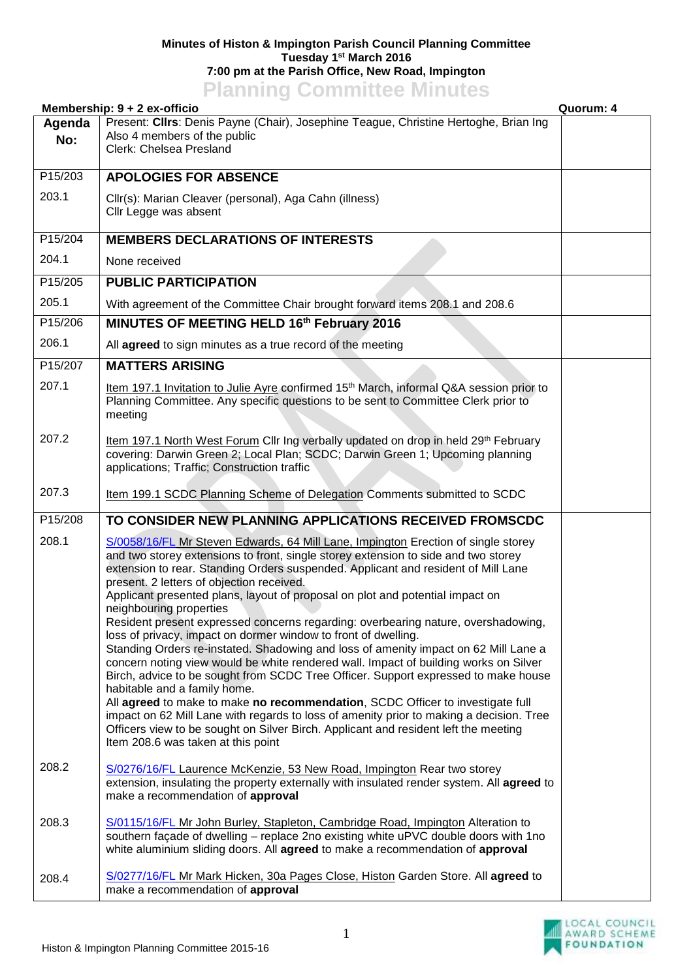## **Minutes of Histon & Impington Parish Council Planning Committee Tuesday 1 st March 2016 7:00 pm at the Parish Office, New Road, Impington Planning Committee Minutes**

| <b>THAT THIS COMMITTEE</b><br>Membership: 9 + 2 ex-officio<br>Quorum: 4 |                                                                                                                                                                                                                                                                                                                                                                                                                                                                                                                                                                                                                                                                                                                                                                                                                                                                                                                                                                                                                                                                                                                                                                                             |  |  |
|-------------------------------------------------------------------------|---------------------------------------------------------------------------------------------------------------------------------------------------------------------------------------------------------------------------------------------------------------------------------------------------------------------------------------------------------------------------------------------------------------------------------------------------------------------------------------------------------------------------------------------------------------------------------------------------------------------------------------------------------------------------------------------------------------------------------------------------------------------------------------------------------------------------------------------------------------------------------------------------------------------------------------------------------------------------------------------------------------------------------------------------------------------------------------------------------------------------------------------------------------------------------------------|--|--|
| Agenda<br>No:                                                           | Present: Cllrs: Denis Payne (Chair), Josephine Teague, Christine Hertoghe, Brian Ing<br>Also 4 members of the public<br>Clerk: Chelsea Presland                                                                                                                                                                                                                                                                                                                                                                                                                                                                                                                                                                                                                                                                                                                                                                                                                                                                                                                                                                                                                                             |  |  |
| P15/203                                                                 | <b>APOLOGIES FOR ABSENCE</b>                                                                                                                                                                                                                                                                                                                                                                                                                                                                                                                                                                                                                                                                                                                                                                                                                                                                                                                                                                                                                                                                                                                                                                |  |  |
| 203.1                                                                   | Cllr(s): Marian Cleaver (personal), Aga Cahn (illness)<br>Cllr Legge was absent                                                                                                                                                                                                                                                                                                                                                                                                                                                                                                                                                                                                                                                                                                                                                                                                                                                                                                                                                                                                                                                                                                             |  |  |
| P15/204                                                                 | <b>MEMBERS DECLARATIONS OF INTERESTS</b>                                                                                                                                                                                                                                                                                                                                                                                                                                                                                                                                                                                                                                                                                                                                                                                                                                                                                                                                                                                                                                                                                                                                                    |  |  |
| 204.1                                                                   | None received                                                                                                                                                                                                                                                                                                                                                                                                                                                                                                                                                                                                                                                                                                                                                                                                                                                                                                                                                                                                                                                                                                                                                                               |  |  |
| P15/205                                                                 | <b>PUBLIC PARTICIPATION</b>                                                                                                                                                                                                                                                                                                                                                                                                                                                                                                                                                                                                                                                                                                                                                                                                                                                                                                                                                                                                                                                                                                                                                                 |  |  |
| 205.1                                                                   | With agreement of the Committee Chair brought forward items 208.1 and 208.6                                                                                                                                                                                                                                                                                                                                                                                                                                                                                                                                                                                                                                                                                                                                                                                                                                                                                                                                                                                                                                                                                                                 |  |  |
| P15/206                                                                 | MINUTES OF MEETING HELD 16th February 2016                                                                                                                                                                                                                                                                                                                                                                                                                                                                                                                                                                                                                                                                                                                                                                                                                                                                                                                                                                                                                                                                                                                                                  |  |  |
| 206.1                                                                   | All agreed to sign minutes as a true record of the meeting                                                                                                                                                                                                                                                                                                                                                                                                                                                                                                                                                                                                                                                                                                                                                                                                                                                                                                                                                                                                                                                                                                                                  |  |  |
| P15/207                                                                 | <b>MATTERS ARISING</b>                                                                                                                                                                                                                                                                                                                                                                                                                                                                                                                                                                                                                                                                                                                                                                                                                                                                                                                                                                                                                                                                                                                                                                      |  |  |
| 207.1                                                                   | Item 197.1 Invitation to Julie Ayre confirmed 15 <sup>th</sup> March, informal Q&A session prior to<br>Planning Committee. Any specific questions to be sent to Committee Clerk prior to<br>meeting                                                                                                                                                                                                                                                                                                                                                                                                                                                                                                                                                                                                                                                                                                                                                                                                                                                                                                                                                                                         |  |  |
| 207.2                                                                   | Item 197.1 North West Forum Cllr Ing verbally updated on drop in held 29th February<br>covering: Darwin Green 2; Local Plan; SCDC; Darwin Green 1; Upcoming planning<br>applications; Traffic; Construction traffic                                                                                                                                                                                                                                                                                                                                                                                                                                                                                                                                                                                                                                                                                                                                                                                                                                                                                                                                                                         |  |  |
| 207.3                                                                   | Item 199.1 SCDC Planning Scheme of Delegation Comments submitted to SCDC                                                                                                                                                                                                                                                                                                                                                                                                                                                                                                                                                                                                                                                                                                                                                                                                                                                                                                                                                                                                                                                                                                                    |  |  |
| P15/208                                                                 | TO CONSIDER NEW PLANNING APPLICATIONS RECEIVED FROMSCDC                                                                                                                                                                                                                                                                                                                                                                                                                                                                                                                                                                                                                                                                                                                                                                                                                                                                                                                                                                                                                                                                                                                                     |  |  |
| 208.1                                                                   | S/0058/16/FL Mr Steven Edwards, 64 Mill Lane, Impington Erection of single storey<br>and two storey extensions to front, single storey extension to side and two storey<br>extension to rear. Standing Orders suspended. Applicant and resident of Mill Lane<br>present. 2 letters of objection received.<br>Applicant presented plans, layout of proposal on plot and potential impact on<br>neighbouring properties<br>Resident present expressed concerns regarding: overbearing nature, overshadowing,<br>loss of privacy, impact on dormer window to front of dwelling.<br>Standing Orders re-instated. Shadowing and loss of amenity impact on 62 Mill Lane a<br>concern noting view would be white rendered wall. Impact of building works on Silver<br>Birch, advice to be sought from SCDC Tree Officer. Support expressed to make house<br>habitable and a family home.<br>All agreed to make to make no recommendation, SCDC Officer to investigate full<br>impact on 62 Mill Lane with regards to loss of amenity prior to making a decision. Tree<br>Officers view to be sought on Silver Birch. Applicant and resident left the meeting<br>Item 208.6 was taken at this point |  |  |
| 208.2                                                                   | S/0276/16/FL Laurence McKenzie, 53 New Road, Impington Rear two storey<br>extension, insulating the property externally with insulated render system. All agreed to<br>make a recommendation of approval                                                                                                                                                                                                                                                                                                                                                                                                                                                                                                                                                                                                                                                                                                                                                                                                                                                                                                                                                                                    |  |  |
| 208.3                                                                   | S/0115/16/FL Mr John Burley, Stapleton, Cambridge Road, Impington Alteration to<br>southern façade of dwelling - replace 2no existing white uPVC double doors with 1no<br>white aluminium sliding doors. All agreed to make a recommendation of approval                                                                                                                                                                                                                                                                                                                                                                                                                                                                                                                                                                                                                                                                                                                                                                                                                                                                                                                                    |  |  |
| 208.4                                                                   | S/0277/16/FL Mr Mark Hicken, 30a Pages Close, Histon Garden Store. All agreed to<br>make a recommendation of approval                                                                                                                                                                                                                                                                                                                                                                                                                                                                                                                                                                                                                                                                                                                                                                                                                                                                                                                                                                                                                                                                       |  |  |